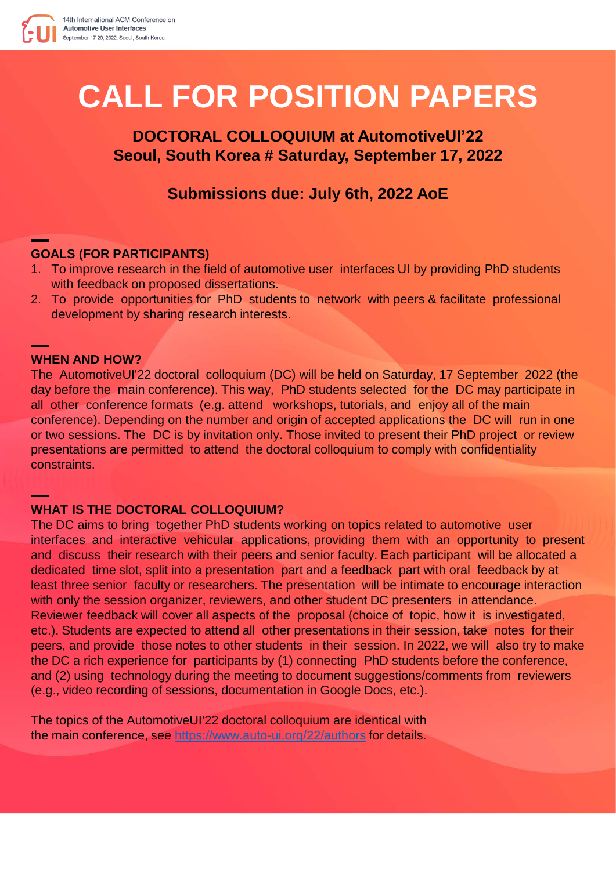

# **CALL FOR POSITION PAPERS**

# **DOCTORAL COLLOQUIUM at AutomotiveUI'22 Seoul, South Korea # Saturday, September 17, 2022**

# **Submissions due: July 6th, 2022 AoE**

## **GOALS (FOR PARTICIPANTS)**

- 1. To improve research in the field of automotive user interfaces UI by providing PhD students with feedback on proposed dissertations.
- 2. To provide opportunities for PhD students to network with peers & facilitate professional development by sharing research interests.

#### **WHEN AND HOW?**

The AutomotiveUI'22 doctoral colloquium (DC) will be held on Saturday, 17 September 2022 (the day before the main conference). This way, PhD students selected for the DC may participate in all other conference formats (e.g. attend workshops, tutorials, and enjoy all of the main conference). Depending on the number and origin of accepted applications the DC will run in one or two sessions. The DC is by invitation only. Those invited to present their PhD project or review presentations are permitted to attend the doctoral colloquium to comply with confidentiality constraints.

#### **WHAT IS THE DOCTORAL COLLOQUIUM?**

The DC aims to bring together PhD students working on topics related to automotive user interfaces and interactive vehicular applications, providing them with an opportunity to present and discuss their research with their peers and senior faculty. Each participant will be allocated a dedicated time slot, split into a presentation part and a feedback part with oral feedback by at least three senior faculty or researchers. The presentation will be intimate to encourage interaction with only the session organizer, reviewers, and other student DC presenters in attendance. Reviewer feedback will cover all aspects of the proposal (choice of topic, how it is investigated, etc.). Students are expected to attend all other presentations in their session, take notes for their peers, and provide those notes to other students in their session. In 2022, we will also try to make the DC a rich experience for participants by (1) connecting PhD students before the conference, and (2) using technology during the meeting to document suggestions/comments from reviewers (e.g., video recording of sessions, documentation in Google Docs, etc.).

The topics of the AutomotiveUI'22 doctoral colloquium are identical with the main conference, see<https://www.auto-ui.org/22/authors> for details.